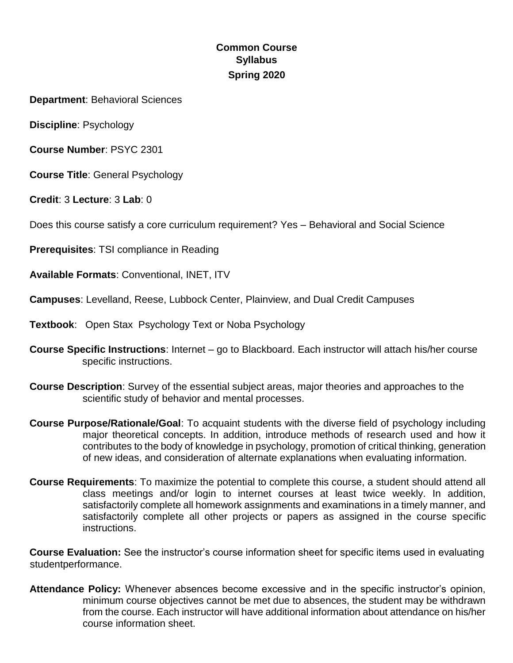# **Common Course Syllabus Spring 2020**

**Department**: Behavioral Sciences

**Discipline**: Psychology

**Course Number**: PSYC 2301

**Course Title**: General Psychology

**Credit**: 3 **Lecture**: 3 **Lab**: 0

Does this course satisfy a core curriculum requirement? Yes – Behavioral and Social Science

**Prerequisites**: TSI compliance in Reading

**Available Formats**: Conventional, INET, ITV

**Campuses**: Levelland, Reese, Lubbock Center, Plainview, and Dual Credit Campuses

- **Textbook**: Open Stax Psychology Text or Noba Psychology
- **Course Specific Instructions**: Internet go to Blackboard. Each instructor will attach his/her course specific instructions.
- **Course Description**: Survey of the essential subject areas, major theories and approaches to the scientific study of behavior and mental processes.
- **Course Purpose/Rationale/Goal**: To acquaint students with the diverse field of psychology including major theoretical concepts. In addition, introduce methods of research used and how it contributes to the body of knowledge in psychology, promotion of critical thinking, generation of new ideas, and consideration of alternate explanations when evaluating information.
- **Course Requirements**: To maximize the potential to complete this course, a student should attend all class meetings and/or login to internet courses at least twice weekly. In addition, satisfactorily complete all homework assignments and examinations in a timely manner, and satisfactorily complete all other projects or papers as assigned in the course specific instructions.

**Course Evaluation:** See the instructor's course information sheet for specific items used in evaluating studentperformance.

**Attendance Policy:** Whenever absences become excessive and in the specific instructor's opinion, minimum course objectives cannot be met due to absences, the student may be withdrawn from the course. Each instructor will have additional information about attendance on his/her course information sheet.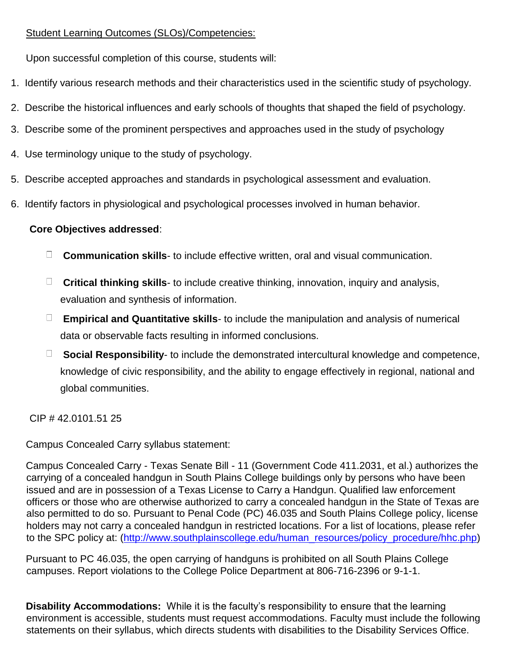## Student Learning Outcomes (SLOs)/Competencies:

Upon successful completion of this course, students will:

- 1. Identify various research methods and their characteristics used in the scientific study of psychology.
- 2. Describe the historical influences and early schools of thoughts that shaped the field of psychology.
- 3. Describe some of the prominent perspectives and approaches used in the study of psychology
- 4. Use terminology unique to the study of psychology.
- 5. Describe accepted approaches and standards in psychological assessment and evaluation.
- 6. Identify factors in physiological and psychological processes involved in human behavior.

## **Core Objectives addressed**:

- **Communication skills** to include effective written, oral and visual communication.
- **Critical thinking skills** to include creative thinking, innovation, inquiry and analysis, evaluation and synthesis of information.
- **Empirical and Quantitative skills** to include the manipulation and analysis of numerical data or observable facts resulting in informed conclusions.
- **Social Responsibility** to include the demonstrated intercultural knowledge and competence, knowledge of civic responsibility, and the ability to engage effectively in regional, national and global communities.

CIP # 42.0101.51 25

Campus Concealed Carry syllabus statement:

Campus Concealed Carry - Texas Senate Bill - 11 (Government Code 411.2031, et al.) authorizes the carrying of a concealed handgun in South Plains College buildings only by persons who have been issued and are in possession of a Texas License to Carry a Handgun. Qualified law enforcement officers or those who are otherwise authorized to carry a concealed handgun in the State of Texas are also permitted to do so. Pursuant to Penal Code (PC) 46.035 and South Plains College policy, license holders may not carry a concealed handgun in restricted locations. For a list of locations, please refer to the SPC policy at: [\(http://www.southplainscollege.edu/human\\_resources/policy\\_procedure/hhc.php\)](http://www.southplainscollege.edu/human_resources/policy_procedure/hhc.php)

Pursuant to PC 46.035, the open carrying of handguns is prohibited on all South Plains College campuses. Report violations to the College Police Department at 806-716-2396 or 9-1-1.

**Disability Accommodations:** While it is the faculty's responsibility to ensure that the learning environment is accessible, students must request accommodations. Faculty must include the following statements on their syllabus, which directs students with disabilities to the Disability Services Office.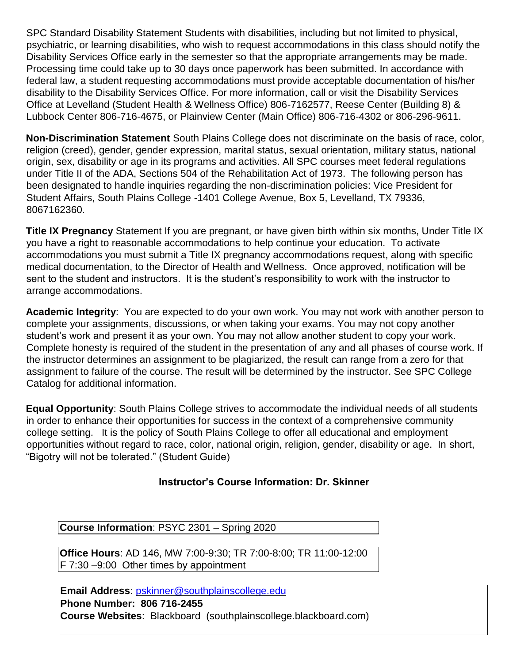SPC Standard Disability Statement Students with disabilities, including but not limited to physical, psychiatric, or learning disabilities, who wish to request accommodations in this class should notify the Disability Services Office early in the semester so that the appropriate arrangements may be made. Processing time could take up to 30 days once paperwork has been submitted. In accordance with federal law, a student requesting accommodations must provide acceptable documentation of his/her disability to the Disability Services Office. For more information, call or visit the Disability Services Office at Levelland (Student Health & Wellness Office) 806-7162577, Reese Center (Building 8) & Lubbock Center 806-716-4675, or Plainview Center (Main Office) 806-716-4302 or 806-296-9611.

**Non-Discrimination Statement** South Plains College does not discriminate on the basis of race, color, religion (creed), gender, gender expression, marital status, sexual orientation, military status, national origin, sex, disability or age in its programs and activities. All SPC courses meet federal regulations under Title II of the ADA, Sections 504 of the Rehabilitation Act of 1973. The following person has been designated to handle inquiries regarding the non-discrimination policies: Vice President for Student Affairs, South Plains College -1401 College Avenue, Box 5, Levelland, TX 79336, 8067162360.

**Title IX Pregnancy** Statement If you are pregnant, or have given birth within six months, Under Title IX you have a right to reasonable accommodations to help continue your education. To activate accommodations you must submit a Title IX pregnancy accommodations request, along with specific medical documentation, to the Director of Health and Wellness. Once approved, notification will be sent to the student and instructors. It is the student's responsibility to work with the instructor to arrange accommodations.

**Academic Integrity**: You are expected to do your own work. You may not work with another person to complete your assignments, discussions, or when taking your exams. You may not copy another student's work and present it as your own. You may not allow another student to copy your work. Complete honesty is required of the student in the presentation of any and all phases of course work. If the instructor determines an assignment to be plagiarized, the result can range from a zero for that assignment to failure of the course. The result will be determined by the instructor. See SPC College Catalog for additional information.

**Equal Opportunity**: South Plains College strives to accommodate the individual needs of all students in order to enhance their opportunities for success in the context of a comprehensive community college setting. It is the policy of South Plains College to offer all educational and employment opportunities without regard to race, color, national origin, religion, gender, disability or age. In short, "Bigotry will not be tolerated." (Student Guide)

## **Instructor's Course Information: Dr. Skinner**

**Course Information**: PSYC 2301 – Spring 2020

**Office Hours**: AD 146, MW 7:00-9:30; TR 7:00-8:00; TR 11:00-12:00 F 7:30 –9:00 Other times by appointment

**Email Address**: pskinner@southplainscollege.edu **Phone Number: 806 716-2455 Course Websites**: Blackboard (southplainscollege.blackboard.com)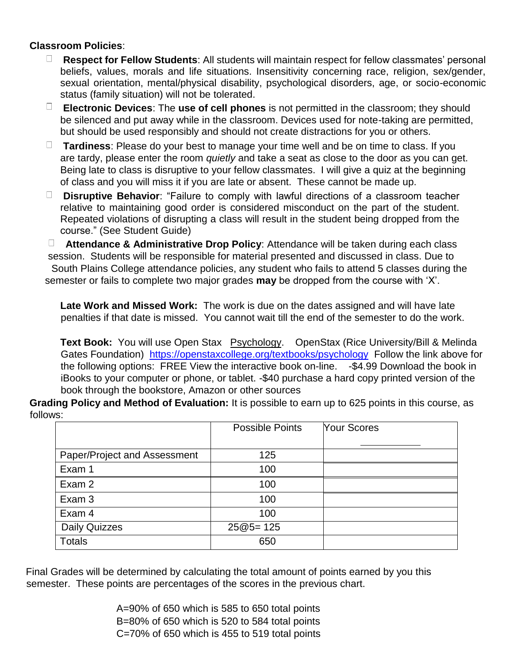#### **Classroom Policies**:

- **Respect for Fellow Students**: All students will maintain respect for fellow classmates' personal beliefs, values, morals and life situations. Insensitivity concerning race, religion, sex/gender, sexual orientation, mental/physical disability, psychological disorders, age, or socio-economic status (family situation) will not be tolerated.
- **Electronic Devices**: The **use of cell phones** is not permitted in the classroom; they should be silenced and put away while in the classroom. Devices used for note-taking are permitted, but should be used responsibly and should not create distractions for you or others.
- **Tardiness**: Please do your best to manage your time well and be on time to class. If you are tardy, please enter the room *quietly* and take a seat as close to the door as you can get. Being late to class is disruptive to your fellow classmates. I will give a quiz at the beginning of class and you will miss it if you are late or absent. These cannot be made up.
- **Disruptive Behavior**: "Failure to comply with lawful directions of a classroom teacher relative to maintaining good order is considered misconduct on the part of the student. Repeated violations of disrupting a class will result in the student being dropped from the course." (See Student Guide)

**Attendance & Administrative Drop Policy**: Attendance will be taken during each class session. Students will be responsible for material presented and discussed in class. Due to South Plains College attendance policies, any student who fails to attend 5 classes during the semester or fails to complete two major grades **may** be dropped from the course with 'X'.

**Late Work and Missed Work:** The work is due on the dates assigned and will have late penalties if that date is missed. You cannot wait till the end of the semester to do the work.

**Text Book:** You will use Open Stax Psychology. OpenStax (Rice University/Bill & Melinda Gates Foundation)<https://openstaxcollege.org/textbooks/psychology> Follow the link above for the following options: FREE View the interactive book on-line. -\$4.99 Download the book in iBooks to your computer or phone, or tablet. -\$40 purchase a hard copy printed version of the book through the bookstore, Amazon or other sources

**Grading Policy and Method of Evaluation:** It is possible to earn up to 625 points in this course, as follows:

|                              | <b>Possible Points</b> | <b>Your Scores</b> |
|------------------------------|------------------------|--------------------|
|                              |                        |                    |
| Paper/Project and Assessment | 125                    |                    |
| Exam 1                       | 100                    |                    |
| Exam 2                       | 100                    |                    |
| Exam 3                       | 100                    |                    |
| Exam 4                       | 100                    |                    |
| <b>Daily Quizzes</b>         | $25@5=125$             |                    |
| <b>Totals</b>                | 650                    |                    |

Final Grades will be determined by calculating the total amount of points earned by you this semester. These points are percentages of the scores in the previous chart.

> A=90% of 650 which is 585 to 650 total points B=80% of 650 which is 520 to 584 total points C=70% of 650 which is 455 to 519 total points